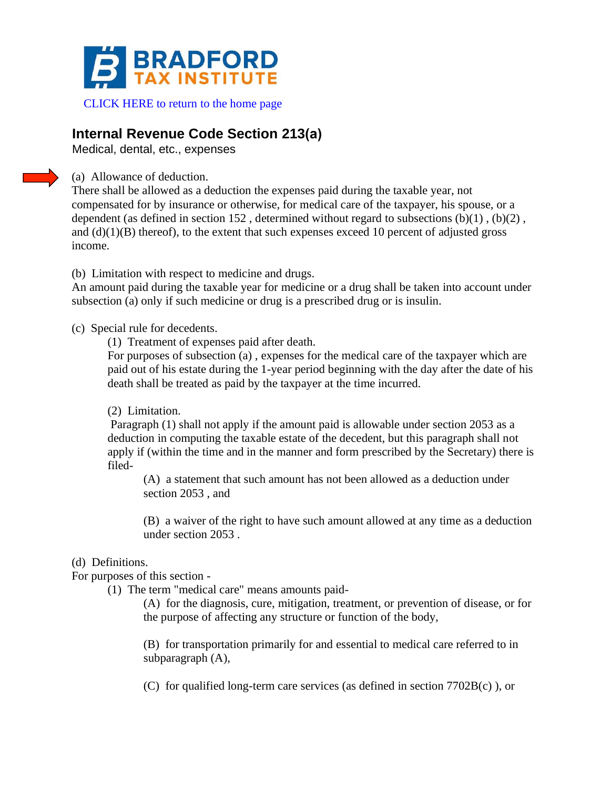

[CLICK HERE to return to the home page](http://www.bradfordtaxinstitute.com)

## **Internal Revenue Code Section 213(a)**

Medical, dental, etc., expenses

(a) Allowance of deduction.

There shall be allowed as a deduction the expenses paid during the taxable year, not compensated for by insurance or otherwise, for medical care of the taxpayer, his spouse, or a dependent (as defined in section 152, determined without regard to subsections  $(b)(1)$ ,  $(b)(2)$ , and  $(d)(1)(B)$  thereof), to the extent that such expenses exceed 10 percent of adjusted gross income.

(b) Limitation with respect to medicine and drugs.

An amount paid during the taxable year for medicine or a drug shall be taken into account under subsection (a) only if such medicine or drug is a prescribed drug or is insulin.

## (c) Special rule for decedents.

(1) Treatment of expenses paid after death.

For purposes of subsection (a) , expenses for the medical care of the taxpayer which are paid out of his estate during the 1-year period beginning with the day after the date of his death shall be treated as paid by the taxpayer at the time incurred.

(2) Limitation.

Paragraph (1) shall not apply if the amount paid is allowable under section 2053 as a deduction in computing the taxable estate of the decedent, but this paragraph shall not apply if (within the time and in the manner and form prescribed by the Secretary) there is filed-

(A) a statement that such amount has not been allowed as a deduction under section 2053 , and

(B) a waiver of the right to have such amount allowed at any time as a deduction under section 2053 .

## (d) Definitions.

For purposes of this section -

(1) The term "medical care" means amounts paid-

(A) for the diagnosis, cure, mitigation, treatment, or prevention of disease, or for the purpose of affecting any structure or function of the body,

(B) for transportation primarily for and essential to medical care referred to in subparagraph (A),

(C) for qualified long-term care services (as defined in section 7702B(c) ), or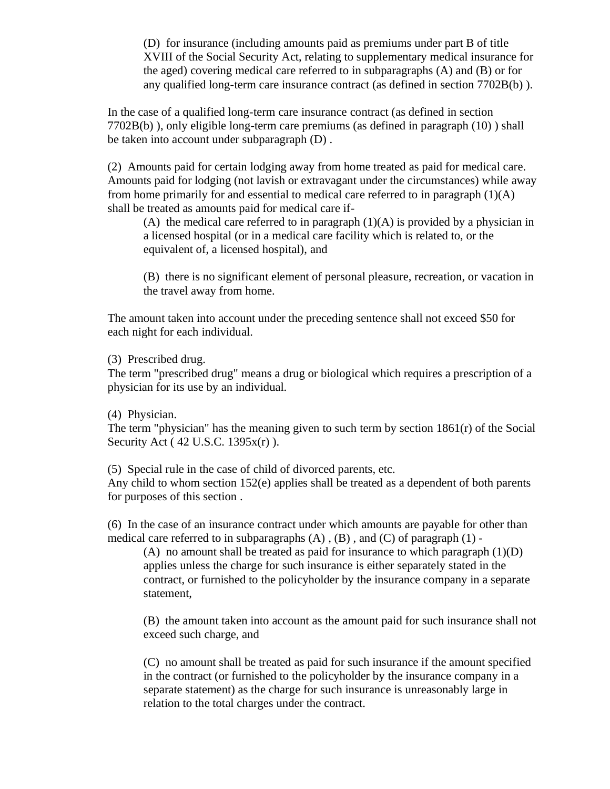(D) for insurance (including amounts paid as premiums under part B of title XVIII of the Social Security Act, relating to supplementary medical insurance for the aged) covering medical care referred to in subparagraphs (A) and (B) or for any qualified long-term care insurance contract (as defined in section 7702B(b) ).

In the case of a qualified long-term care insurance contract (as defined in section 7702B(b) ), only eligible long-term care premiums (as defined in paragraph (10) ) shall be taken into account under subparagraph (D) .

(2) Amounts paid for certain lodging away from home treated as paid for medical care. Amounts paid for lodging (not lavish or extravagant under the circumstances) while away from home primarily for and essential to medical care referred to in paragraph  $(1)(A)$ shall be treated as amounts paid for medical care if-

(A) the medical care referred to in paragraph  $(1)(A)$  is provided by a physician in a licensed hospital (or in a medical care facility which is related to, or the equivalent of, a licensed hospital), and

(B) there is no significant element of personal pleasure, recreation, or vacation in the travel away from home.

The amount taken into account under the preceding sentence shall not exceed \$50 for each night for each individual.

(3) Prescribed drug.

The term "prescribed drug" means a drug or biological which requires a prescription of a physician for its use by an individual.

(4) Physician.

The term "physician" has the meaning given to such term by section  $1861(r)$  of the Social Security Act ( 42 U.S.C. 1395x(r) ).

(5) Special rule in the case of child of divorced parents, etc. Any child to whom section 152(e) applies shall be treated as a dependent of both parents for purposes of this section .

(6) In the case of an insurance contract under which amounts are payable for other than medical care referred to in subparagraphs  $(A)$ ,  $(B)$ , and  $(C)$  of paragraph  $(1)$  -

(A) no amount shall be treated as paid for insurance to which paragraph  $(1)(D)$ applies unless the charge for such insurance is either separately stated in the contract, or furnished to the policyholder by the insurance company in a separate statement,

(B) the amount taken into account as the amount paid for such insurance shall not exceed such charge, and

(C) no amount shall be treated as paid for such insurance if the amount specified in the contract (or furnished to the policyholder by the insurance company in a separate statement) as the charge for such insurance is unreasonably large in relation to the total charges under the contract.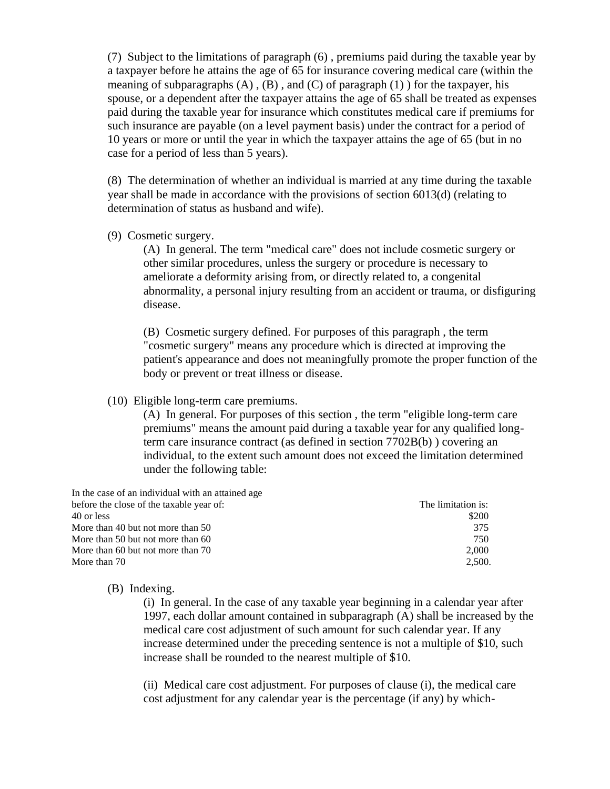(7) Subject to the limitations of paragraph (6) , premiums paid during the taxable year by a taxpayer before he attains the age of 65 for insurance covering medical care (within the meaning of subparagraphs  $(A)$ ,  $(B)$ , and  $(C)$  of paragraph  $(1)$  for the taxpayer, his spouse, or a dependent after the taxpayer attains the age of 65 shall be treated as expenses paid during the taxable year for insurance which constitutes medical care if premiums for such insurance are payable (on a level payment basis) under the contract for a period of 10 years or more or until the year in which the taxpayer attains the age of 65 (but in no case for a period of less than 5 years).

(8) The determination of whether an individual is married at any time during the taxable year shall be made in accordance with the provisions of section 6013(d) (relating to determination of status as husband and wife).

(9) Cosmetic surgery.

(A) In general. The term "medical care" does not include cosmetic surgery or other similar procedures, unless the surgery or procedure is necessary to ameliorate a deformity arising from, or directly related to, a congenital abnormality, a personal injury resulting from an accident or trauma, or disfiguring disease.

(B) Cosmetic surgery defined. For purposes of this paragraph , the term "cosmetic surgery" means any procedure which is directed at improving the patient's appearance and does not meaningfully promote the proper function of the body or prevent or treat illness or disease.

(10) Eligible long-term care premiums.

(A) In general. For purposes of this section , the term "eligible long-term care premiums" means the amount paid during a taxable year for any qualified longterm care insurance contract (as defined in section 7702B(b) ) covering an individual, to the extent such amount does not exceed the limitation determined under the following table:

| In the case of an individual with an attained age |                    |
|---------------------------------------------------|--------------------|
| before the close of the taxable year of:          | The limitation is: |
| 40 or less                                        | \$200              |
| More than 40 but not more than 50                 | 375                |
| More than 50 but not more than 60                 | 750                |
| More than 60 but not more than 70                 | 2.000              |
| More than 70                                      | 2.500.             |

## (B) Indexing.

(i) In general. In the case of any taxable year beginning in a calendar year after 1997, each dollar amount contained in subparagraph (A) shall be increased by the medical care cost adjustment of such amount for such calendar year. If any increase determined under the preceding sentence is not a multiple of \$10, such increase shall be rounded to the nearest multiple of \$10.

(ii) Medical care cost adjustment. For purposes of clause (i), the medical care cost adjustment for any calendar year is the percentage (if any) by which